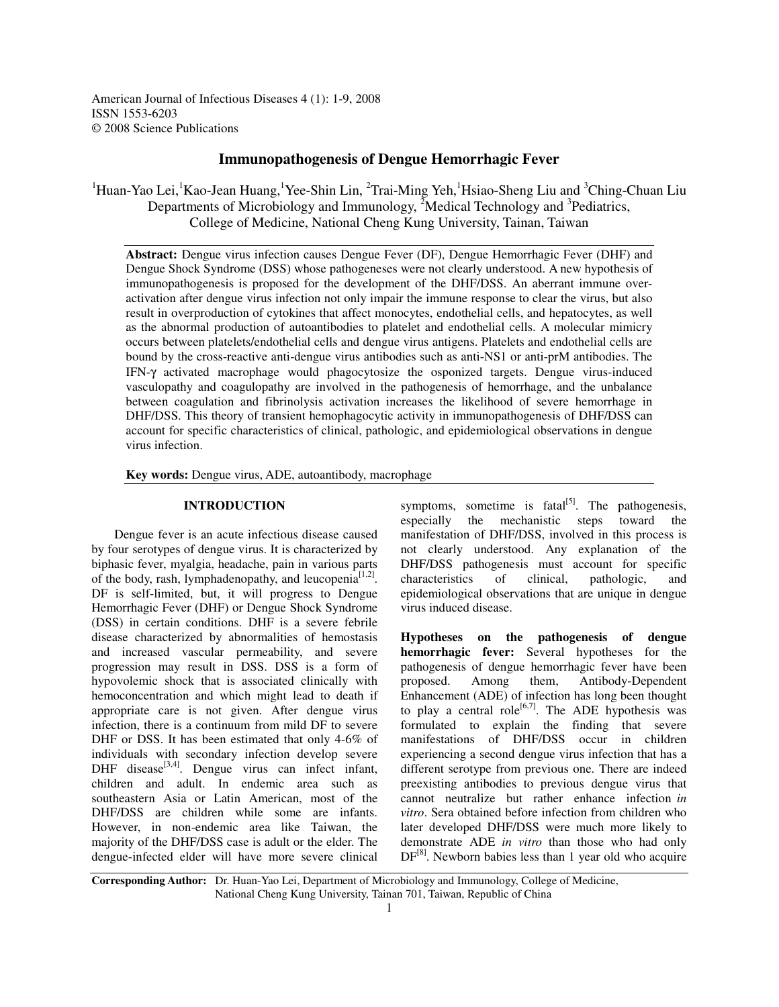American Journal of Infectious Diseases 4 (1): 1-9, 2008 ISSN 1553-6203 © 2008 Science Publications

## **Immunopathogenesis of Dengue Hemorrhagic Fever**

<sup>1</sup>Huan-Yao Lei, <sup>1</sup>Kao-Jean Huang, <sup>1</sup>Yee-Shin Lin, <sup>2</sup>Trai-Ming Yeh, <sup>1</sup>Hsiao-Sheng Liu and <sup>3</sup>Ching-Chuan Liu Departments of Microbiology and Immunology, <sup>2</sup>Medical Technology and <sup>3</sup>Pediatrics, College of Medicine, National Cheng Kung University, Tainan, Taiwan

**Abstract:** Dengue virus infection causes Dengue Fever (DF), Dengue Hemorrhagic Fever (DHF) and Dengue Shock Syndrome (DSS) whose pathogeneses were not clearly understood. A new hypothesis of immunopathogenesis is proposed for the development of the DHF/DSS. An aberrant immune overactivation after dengue virus infection not only impair the immune response to clear the virus, but also result in overproduction of cytokines that affect monocytes, endothelial cells, and hepatocytes, as well as the abnormal production of autoantibodies to platelet and endothelial cells. A molecular mimicry occurs between platelets/endothelial cells and dengue virus antigens. Platelets and endothelial cells are bound by the cross-reactive anti-dengue virus antibodies such as anti-NS1 or anti-prM antibodies. The IFN-γ activated macrophage would phagocytosize the osponized targets. Dengue virus-induced vasculopathy and coagulopathy are involved in the pathogenesis of hemorrhage, and the unbalance between coagulation and fibrinolysis activation increases the likelihood of severe hemorrhage in DHF/DSS. This theory of transient hemophagocytic activity in immunopathogenesis of DHF/DSS can account for specific characteristics of clinical, pathologic, and epidemiological observations in dengue virus infection.

**Key words:** Dengue virus, ADE, autoantibody, macrophage

## **INTRODUCTION**

Dengue fever is an acute infectious disease caused by four serotypes of dengue virus. It is characterized by biphasic fever, myalgia, headache, pain in various parts of the body, rash, lymphadenopathy, and leucopenia $^{[1,2]}$ . DF is self-limited, but, it will progress to Dengue Hemorrhagic Fever (DHF) or Dengue Shock Syndrome (DSS) in certain conditions. DHF is a severe febrile disease characterized by abnormalities of hemostasis and increased vascular permeability, and severe progression may result in DSS. DSS is a form of hypovolemic shock that is associated clinically with hemoconcentration and which might lead to death if appropriate care is not given. After dengue virus infection, there is a continuum from mild DF to severe DHF or DSS. It has been estimated that only 4-6% of individuals with secondary infection develop severe DHF disease<sup>[3,4]</sup>. Dengue virus can infect infant, children and adult. In endemic area such as southeastern Asia or Latin American, most of the DHF/DSS are children while some are infants. However, in non-endemic area like Taiwan, the majority of the DHF/DSS case is adult or the elder. The dengue-infected elder will have more severe clinical

symptoms, sometime is fatal $^{[5]}$ . The pathogenesis, especially the mechanistic steps toward the manifestation of DHF/DSS, involved in this process is not clearly understood. Any explanation of the DHF/DSS pathogenesis must account for specific characteristics of clinical, pathologic, and characteristics of clinical, pathologic, and epidemiological observations that are unique in dengue virus induced disease.

**Hypotheses on the pathogenesis of dengue hemorrhagic fever:** Several hypotheses for the pathogenesis of dengue hemorrhagic fever have been proposed. Among them, Antibody-Dependent Enhancement (ADE) of infection has long been thought to play a central role<sup>[6,7]</sup>. The ADE hypothesis was formulated to explain the finding that severe manifestations of DHF/DSS occur in children experiencing a second dengue virus infection that has a different serotype from previous one. There are indeed preexisting antibodies to previous dengue virus that cannot neutralize but rather enhance infection *in vitro*. Sera obtained before infection from children who later developed DHF/DSS were much more likely to demonstrate ADE *in vitro* than those who had only DF<sup>[8]</sup>. Newborn babies less than 1 year old who acquire

**Corresponding Author:** Dr. Huan-Yao Lei, Department of Microbiology and Immunology, College of Medicine, National Cheng Kung University, Tainan 701, Taiwan, Republic of China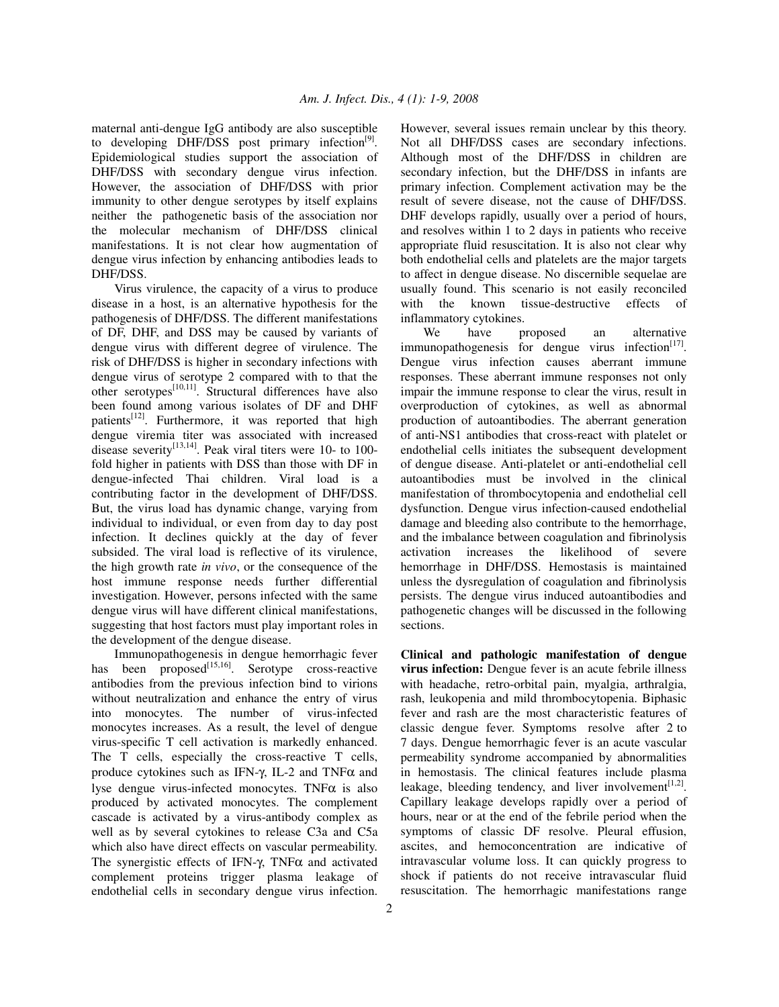maternal anti-dengue IgG antibody are also susceptible to developing DHF/DSS post primary infection<sup>[9]</sup>. Epidemiological studies support the association of DHF/DSS with secondary dengue virus infection. However, the association of DHF/DSS with prior immunity to other dengue serotypes by itself explains neither the pathogenetic basis of the association nor the molecular mechanism of DHF/DSS clinical manifestations. It is not clear how augmentation of dengue virus infection by enhancing antibodies leads to DHF/DSS.

Virus virulence, the capacity of a virus to produce disease in a host, is an alternative hypothesis for the pathogenesis of DHF/DSS. The different manifestations of DF, DHF, and DSS may be caused by variants of dengue virus with different degree of virulence. The risk of DHF/DSS is higher in secondary infections with dengue virus of serotype 2 compared with to that the other serotypes<sup>[10,11]</sup>. Structural differences have also been found among various isolates of DF and DHF patients<sup>[12]</sup>. Furthermore, it was reported that high dengue viremia titer was associated with increased disease severity $^{[13,14]}$ . Peak viral titers were 10- to 100fold higher in patients with DSS than those with DF in dengue-infected Thai children. Viral load is a contributing factor in the development of DHF/DSS. But, the virus load has dynamic change, varying from individual to individual, or even from day to day post infection. It declines quickly at the day of fever subsided. The viral load is reflective of its virulence, the high growth rate *in vivo*, or the consequence of the host immune response needs further differential investigation. However, persons infected with the same dengue virus will have different clinical manifestations, suggesting that host factors must play important roles in the development of the dengue disease.

Immunopathogenesis in dengue hemorrhagic fever has been proposed<sup>[15,16]</sup>. Serotype cross-reactive antibodies from the previous infection bind to virions without neutralization and enhance the entry of virus into monocytes. The number of virus-infected monocytes increases. As a result, the level of dengue virus-specific T cell activation is markedly enhanced. The T cells, especially the cross-reactive T cells, produce cytokines such as IFN-γ, IL-2 and TNFα and lyse dengue virus-infected monocytes. TNF $\alpha$  is also produced by activated monocytes. The complement cascade is activated by a virus-antibody complex as well as by several cytokines to release C3a and C5a which also have direct effects on vascular permeability. The synergistic effects of IFN-γ, TNFα and activated complement proteins trigger plasma leakage of endothelial cells in secondary dengue virus infection.

However, several issues remain unclear by this theory. Not all DHF/DSS cases are secondary infections. Although most of the DHF/DSS in children are secondary infection, but the DHF/DSS in infants are primary infection. Complement activation may be the result of severe disease, not the cause of DHF/DSS. DHF develops rapidly, usually over a period of hours, and resolves within 1 to 2 days in patients who receive appropriate fluid resuscitation. It is also not clear why both endothelial cells and platelets are the major targets to affect in dengue disease. No discernible sequelae are usually found. This scenario is not easily reconciled with the known tissue-destructive effects of inflammatory cytokines.

We have proposed an alternative immunopathogenesis for dengue virus infection<sup>[17]</sup>. Dengue virus infection causes aberrant immune responses. These aberrant immune responses not only impair the immune response to clear the virus, result in overproduction of cytokines, as well as abnormal production of autoantibodies. The aberrant generation of anti-NS1 antibodies that cross-react with platelet or endothelial cells initiates the subsequent development of dengue disease. Anti-platelet or anti-endothelial cell autoantibodies must be involved in the clinical manifestation of thrombocytopenia and endothelial cell dysfunction. Dengue virus infection-caused endothelial damage and bleeding also contribute to the hemorrhage, and the imbalance between coagulation and fibrinolysis activation increases the likelihood of severe hemorrhage in DHF/DSS. Hemostasis is maintained unless the dysregulation of coagulation and fibrinolysis persists. The dengue virus induced autoantibodies and pathogenetic changes will be discussed in the following sections.

**Clinical and pathologic manifestation of dengue virus infection:** Dengue fever is an acute febrile illness with headache, retro-orbital pain, myalgia, arthralgia, rash, leukopenia and mild thrombocytopenia. Biphasic fever and rash are the most characteristic features of classic dengue fever. Symptoms resolve after 2 to 7 days. Dengue hemorrhagic fever is an acute vascular permeability syndrome accompanied by abnormalities in hemostasis. The clinical features include plasma leakage, bleeding tendency, and liver involvement  $[1,2]$ . Capillary leakage develops rapidly over a period of hours, near or at the end of the febrile period when the symptoms of classic DF resolve. Pleural effusion, ascites, and hemoconcentration are indicative of intravascular volume loss. It can quickly progress to shock if patients do not receive intravascular fluid resuscitation. The hemorrhagic manifestations range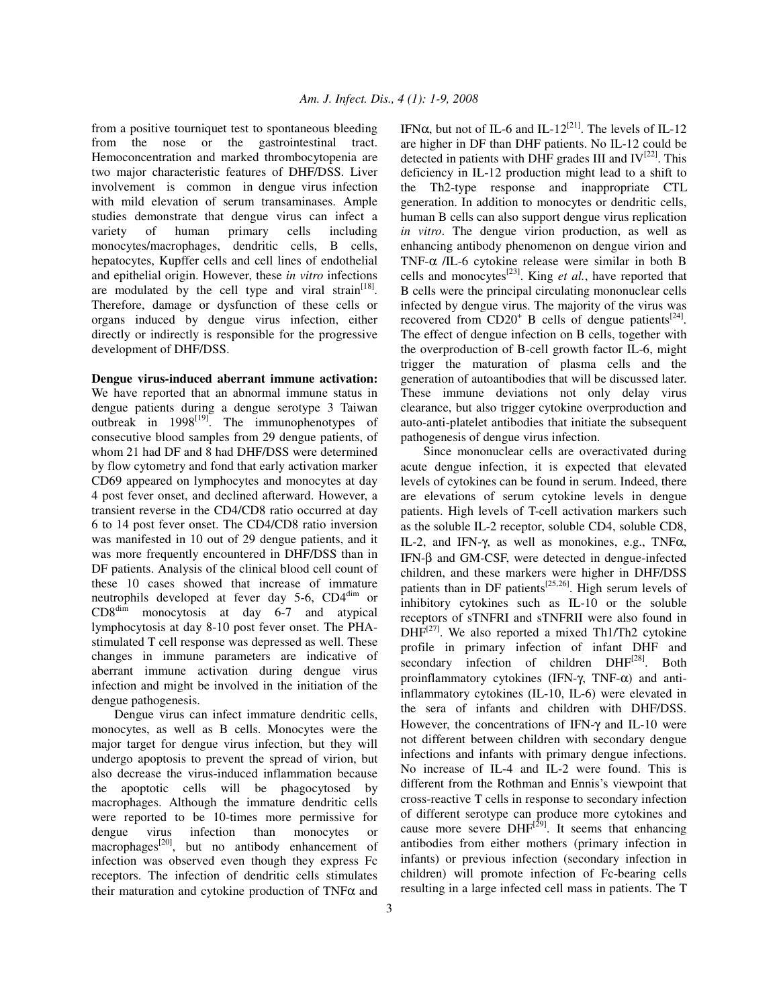from a positive tourniquet test to spontaneous bleeding from the nose or the gastrointestinal tract. Hemoconcentration and marked thrombocytopenia are two major characteristic features of DHF/DSS. Liver involvement is common in dengue virus infection with mild elevation of serum transaminases. Ample studies demonstrate that dengue virus can infect a variety of human primary cells including monocytes/macrophages, dendritic cells, B cells, hepatocytes, Kupffer cells and cell lines of endothelial and epithelial origin. However, these *in vitro* infections are modulated by the cell type and viral strain<sup>[18]</sup>. Therefore, damage or dysfunction of these cells or organs induced by dengue virus infection, either directly or indirectly is responsible for the progressive development of DHF/DSS.

**Dengue virus-induced aberrant immune activation:** We have reported that an abnormal immune status in dengue patients during a dengue serotype 3 Taiwan outbreak in 1998<sup>[19]</sup>. The immunophenotypes of consecutive blood samples from 29 dengue patients, of whom 21 had DF and 8 had DHF/DSS were determined by flow cytometry and fond that early activation marker CD69 appeared on lymphocytes and monocytes at day 4 post fever onset, and declined afterward. However, a transient reverse in the CD4/CD8 ratio occurred at day 6 to 14 post fever onset. The CD4/CD8 ratio inversion was manifested in 10 out of 29 dengue patients, and it was more frequently encountered in DHF/DSS than in DF patients. Analysis of the clinical blood cell count of these 10 cases showed that increase of immature neutrophils developed at fever day 5-6, CD4<sup>dim</sup> or CD8 dim monocytosis at day 6-7 and atypical lymphocytosis at day 8-10 post fever onset. The PHAstimulated T cell response was depressed as well. These changes in immune parameters are indicative of aberrant immune activation during dengue virus infection and might be involved in the initiation of the dengue pathogenesis.

Dengue virus can infect immature dendritic cells, monocytes, as well as B cells. Monocytes were the major target for dengue virus infection, but they will undergo apoptosis to prevent the spread of virion, but also decrease the virus-induced inflammation because the apoptotic cells will be phagocytosed by macrophages. Although the immature dendritic cells were reported to be 10-times more permissive for dengue virus infection than monocytes or macrophages<sup>[20]</sup>, but no antibody enhancement of infection was observed even though they express Fc receptors. The infection of dendritic cells stimulates their maturation and cytokine production of  $TNF\alpha$  and

IFN $\alpha$ , but not of IL-6 and IL-12<sup>[21]</sup>. The levels of IL-12 are higher in DF than DHF patients. No IL-12 could be detected in patients with DHF grades III and  $IV^{[22]}$ . This deficiency in IL-12 production might lead to a shift to the Th2-type response and inappropriate CTL generation. In addition to monocytes or dendritic cells, human B cells can also support dengue virus replication *in vitro*. The dengue virion production, as well as enhancing antibody phenomenon on dengue virion and TNF- $\alpha$  /IL-6 cytokine release were similar in both B cells and monocytes [23] . King *et al.*, have reported that B cells were the principal circulating mononuclear cells infected by dengue virus. The majority of the virus was recovered from  $CD20<sup>+</sup>$  B cells of dengue patients<sup>[24]</sup>. The effect of dengue infection on B cells, together with the overproduction of B-cell growth factor IL-6, might trigger the maturation of plasma cells and the generation of autoantibodies that will be discussed later. These immune deviations not only delay virus clearance, but also trigger cytokine overproduction and auto-anti-platelet antibodies that initiate the subsequent pathogenesis of dengue virus infection.

Since mononuclear cells are overactivated during acute dengue infection, it is expected that elevated levels of cytokines can be found in serum. Indeed, there are elevations of serum cytokine levels in dengue patients. High levels of T-cell activation markers such as the soluble IL-2 receptor, soluble CD4, soluble CD8, IL-2, and IFN-γ, as well as monokines, e.g., TNFα, IFN-β and GM-CSF, were detected in dengue-infected children, and these markers were higher in DHF/DSS patients than in DF patients<sup>[25,26]</sup>. High serum levels of inhibitory cytokines such as IL-10 or the soluble receptors of sTNFRI and sTNFRII were also found in  $DHF<sup>[27]</sup>$ . We also reported a mixed Th1/Th2 cytokine profile in primary infection of infant DHF and secondary infection of children DHF<sup>[28]</sup>. Both proinflammatory cytokines (IFN-γ, TNF-α) and antiinflammatory cytokines (IL-10, IL-6) were elevated in the sera of infants and children with DHF/DSS. However, the concentrations of IFN-γ and IL-10 were not different between children with secondary dengue infections and infants with primary dengue infections. No increase of IL-4 and IL-2 were found. This is different from the Rothman and Ennis's viewpoint that cross-reactive T cells in response to secondary infection of different serotype can produce more cytokines and cause more severe  $DHF^{[29]}$ . It seems that enhancing antibodies from either mothers (primary infection in infants) or previous infection (secondary infection in children) will promote infection of Fc-bearing cells resulting in a large infected cell mass in patients. The T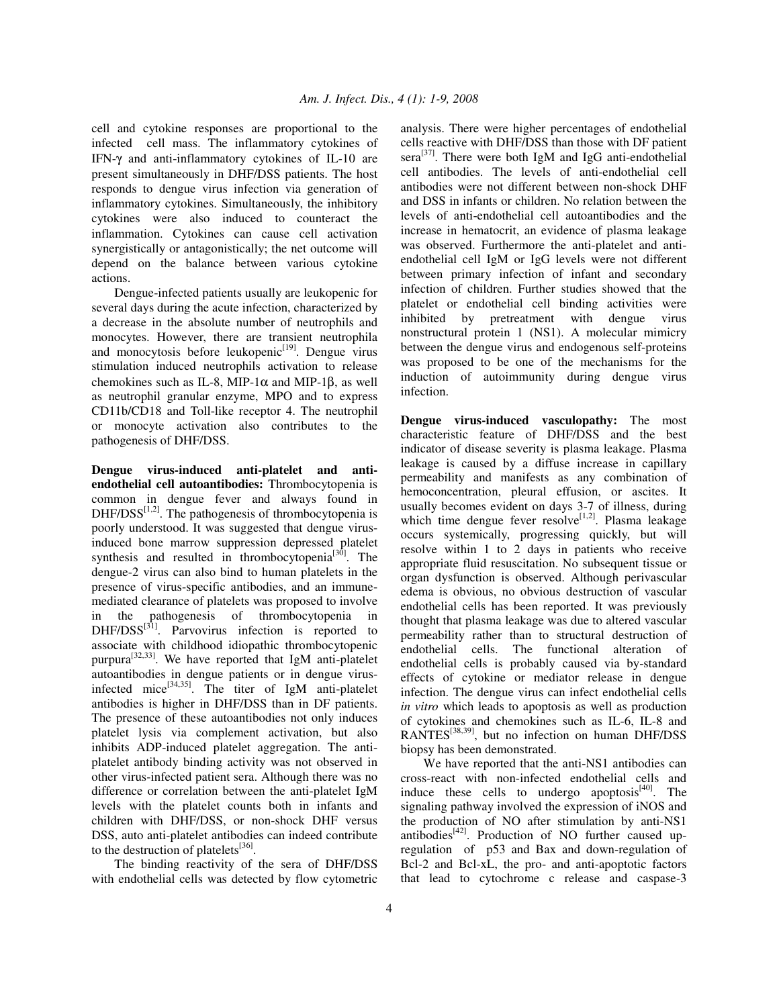cell and cytokine responses are proportional to the infected cell mass. The inflammatory cytokines of IFN-γ and anti-inflammatory cytokines of IL-10 are present simultaneously in DHF/DSS patients. The host responds to dengue virus infection via generation of inflammatory cytokines. Simultaneously, the inhibitory cytokines were also induced to counteract the inflammation. Cytokines can cause cell activation synergistically or antagonistically; the net outcome will depend on the balance between various cytokine actions.

Dengue-infected patients usually are leukopenic for several days during the acute infection, characterized by a decrease in the absolute number of neutrophils and monocytes. However, there are transient neutrophila and monocytosis before leukopenic<sup>[19]</sup>. Dengue virus stimulation induced neutrophils activation to release chemokines such as IL-8, MIP-1 $\alpha$  and MIP-1 $\beta$ , as well as neutrophil granular enzyme, MPO and to express CD11b/CD18 and Toll-like receptor 4. The neutrophil or monocyte activation also contributes to the pathogenesis of DHF/DSS.

**Dengue virus-induced anti-platelet and antiendothelial cell autoantibodies:** Thrombocytopenia is common in dengue fever and always found in  $DHF/ DSS^{[1,2]}$ . The pathogenesis of thrombocytopenia is poorly understood. It was suggested that dengue virusinduced bone marrow suppression depressed platelet synthesis and resulted in thrombocytopenia<sup>[30]</sup>. The dengue-2 virus can also bind to human platelets in the presence of virus-specific antibodies, and an immunemediated clearance of platelets was proposed to involve in the pathogenesis of thrombocytopenia in  $DHF/ DSS^{[3]}$ . Parvovirus infection is reported to associate with childhood idiopathic thrombocytopenic purpura<sup>[32,33]</sup>. We have reported that IgM anti-platelet autoantibodies in dengue patients or in dengue virusinfected mice<sup>[34,35]</sup>. The titer of IgM anti-platelet antibodies is higher in DHF/DSS than in DF patients. The presence of these autoantibodies not only induces platelet lysis via complement activation, but also inhibits ADP-induced platelet aggregation. The antiplatelet antibody binding activity was not observed in other virus-infected patient sera. Although there was no difference or correlation between the anti-platelet IgM levels with the platelet counts both in infants and children with DHF/DSS, or non-shock DHF versus DSS, auto anti-platelet antibodies can indeed contribute to the destruction of platelets $^{[36]}$ .

The binding reactivity of the sera of DHF/DSS with endothelial cells was detected by flow cytometric analysis. There were higher percentages of endothelial cells reactive with DHF/DSS than those with DF patient sera<sup>[37]</sup>. There were both IgM and IgG anti-endothelial cell antibodies. The levels of anti-endothelial cell antibodies were not different between non-shock DHF and DSS in infants or children. No relation between the levels of anti-endothelial cell autoantibodies and the increase in hematocrit, an evidence of plasma leakage was observed. Furthermore the anti-platelet and antiendothelial cell IgM or IgG levels were not different between primary infection of infant and secondary infection of children. Further studies showed that the platelet or endothelial cell binding activities were inhibited by pretreatment with dengue virus nonstructural protein 1 (NS1). A molecular mimicry between the dengue virus and endogenous self-proteins was proposed to be one of the mechanisms for the induction of autoimmunity during dengue virus infection.

**Dengue virus-induced vasculopathy:** The most characteristic feature of DHF/DSS and the best indicator of disease severity is plasma leakage. Plasma leakage is caused by a diffuse increase in capillary permeability and manifests as any combination of hemoconcentration, pleural effusion, or ascites. It usually becomes evident on days 3-7 of illness, during which time dengue fever resolve<sup>[1,2]</sup>. Plasma leakage occurs systemically, progressing quickly, but will resolve within 1 to 2 days in patients who receive appropriate fluid resuscitation. No subsequent tissue or organ dysfunction is observed. Although perivascular edema is obvious, no obvious destruction of vascular endothelial cells has been reported. It was previously thought that plasma leakage was due to altered vascular permeability rather than to structural destruction of endothelial cells. The functional alteration of endothelial cells is probably caused via by-standard effects of cytokine or mediator release in dengue infection. The dengue virus can infect endothelial cells *in vitro* which leads to apoptosis as well as production of cytokines and chemokines such as IL-6, IL-8 and RANTES<sup>[38,39]</sup>, but no infection on human DHF/DSS biopsy has been demonstrated.

We have reported that the anti-NS1 antibodies can cross-react with non-infected endothelial cells and induce these cells to undergo apoptosis $[40]$ . The signaling pathway involved the expression of iNOS and the production of NO after stimulation by anti-NS1 antibodies<sup>[42]</sup>. Production of NO further caused upregulation of p53 and Bax and down-regulation of Bcl-2 and Bcl-xL, the pro- and anti-apoptotic factors that lead to cytochrome c release and caspase-3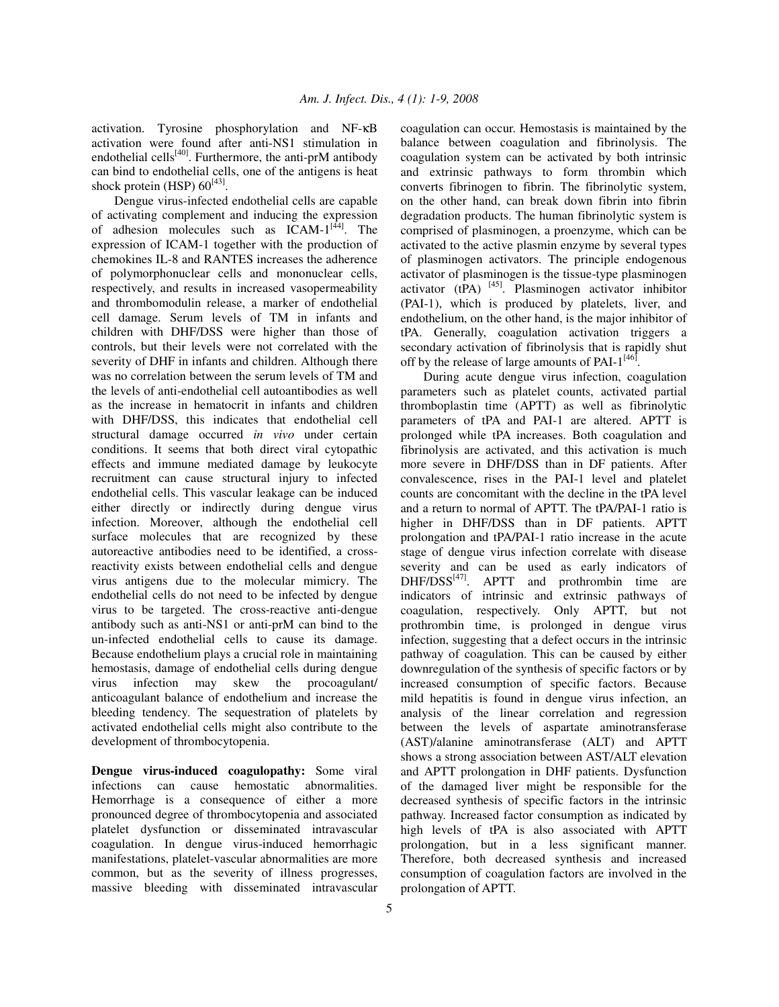activation. Tyrosine phosphorylation and NF-κB activation were found after anti-NS1 stimulation in endothelial cells<sup>[40]</sup>. Furthermore, the anti-prM antibody can bind to endothelial cells, one of the antigens is heat shock protein (HSP)  $60^{[43]}$ .

Dengue virus-infected endothelial cells are capable of activating complement and inducing the expression of adhesion molecules such as  $ICAM-1^{[44]}$ . The expression of ICAM-1 together with the production of chemokines IL-8 and RANTES increases the adherence of polymorphonuclear cells and mononuclear cells, respectively, and results in increased vasopermeability and thrombomodulin release, a marker of endothelial cell damage. Serum levels of TM in infants and children with DHF/DSS were higher than those of controls, but their levels were not correlated with the severity of DHF in infants and children. Although there was no correlation between the serum levels of TM and the levels of anti-endothelial cell autoantibodies as well as the increase in hematocrit in infants and children with DHF/DSS, this indicates that endothelial cell structural damage occurred *in vivo* under certain conditions. It seems that both direct viral cytopathic effects and immune mediated damage by leukocyte recruitment can cause structural injury to infected endothelial cells. This vascular leakage can be induced either directly or indirectly during dengue virus infection. Moreover, although the endothelial cell surface molecules that are recognized by these autoreactive antibodies need to be identified, a crossreactivity exists between endothelial cells and dengue virus antigens due to the molecular mimicry. The endothelial cells do not need to be infected by dengue virus to be targeted. The cross-reactive anti-dengue antibody such as anti-NS1 or anti-prM can bind to the un-infected endothelial cells to cause its damage. Because endothelium plays a crucial role in maintaining hemostasis, damage of endothelial cells during dengue virus infection may skew the procoagulant/ anticoagulant balance of endothelium and increase the bleeding tendency. The sequestration of platelets by activated endothelial cells might also contribute to the development of thrombocytopenia.

**Dengue virus-induced coagulopathy:** Some viral infections can cause hemostatic abnormalities. Hemorrhage is a consequence of either a more pronounced degree of thrombocytopenia and associated platelet dysfunction or disseminated intravascular coagulation. In dengue virus-induced hemorrhagic manifestations, platelet-vascular abnormalities are more common, but as the severity of illness progresses, massive bleeding with disseminated intravascular coagulation can occur. Hemostasis is maintained by the balance between coagulation and fibrinolysis. The coagulation system can be activated by both intrinsic and extrinsic pathways to form thrombin which converts fibrinogen to fibrin. The fibrinolytic system, on the other hand, can break down fibrin into fibrin degradation products. The human fibrinolytic system is comprised of plasminogen, a proenzyme, which can be activated to the active plasmin enzyme by several types of plasminogen activators. The principle endogenous activator of plasminogen is the tissue-type plasminogen activator (tPA) <a>[45]</a>. Plasminogen activator inhibitor (PAI-1), which is produced by platelets, liver, and endothelium, on the other hand, is the major inhibitor of tPA. Generally, coagulation activation triggers a secondary activation of fibrinolysis that is rapidly shut off by the release of large amounts of PAI- $1^{[46]}$ .

During acute dengue virus infection, coagulation parameters such as platelet counts, activated partial thromboplastin time (APTT) as well as fibrinolytic parameters of tPA and PAI-1 are altered. APTT is prolonged while tPA increases. Both coagulation and fibrinolysis are activated, and this activation is much more severe in DHF/DSS than in DF patients. After convalescence, rises in the PAI-1 level and platelet counts are concomitant with the decline in the tPA level and a return to normal of APTT. The tPA/PAI-1 ratio is higher in DHF/DSS than in DF patients. APTT prolongation and tPA/PAI-1 ratio increase in the acute stage of dengue virus infection correlate with disease severity and can be used as early indicators of  $DHF/ DSS^{[47]}$ . APTT and prothrombin time are indicators of intrinsic and extrinsic pathways of coagulation, respectively. Only APTT, but not prothrombin time, is prolonged in dengue virus infection, suggesting that a defect occurs in the intrinsic pathway of coagulation. This can be caused by either downregulation of the synthesis of specific factors or by increased consumption of specific factors. Because mild hepatitis is found in dengue virus infection, an analysis of the linear correlation and regression between the levels of aspartate aminotransferase (AST)/alanine aminotransferase (ALT) and APTT shows a strong association between AST/ALT elevation and APTT prolongation in DHF patients. Dysfunction of the damaged liver might be responsible for the decreased synthesis of specific factors in the intrinsic pathway. Increased factor consumption as indicated by high levels of tPA is also associated with APTT prolongation, but in a less significant manner. Therefore, both decreased synthesis and increased consumption of coagulation factors are involved in the prolongation of APTT.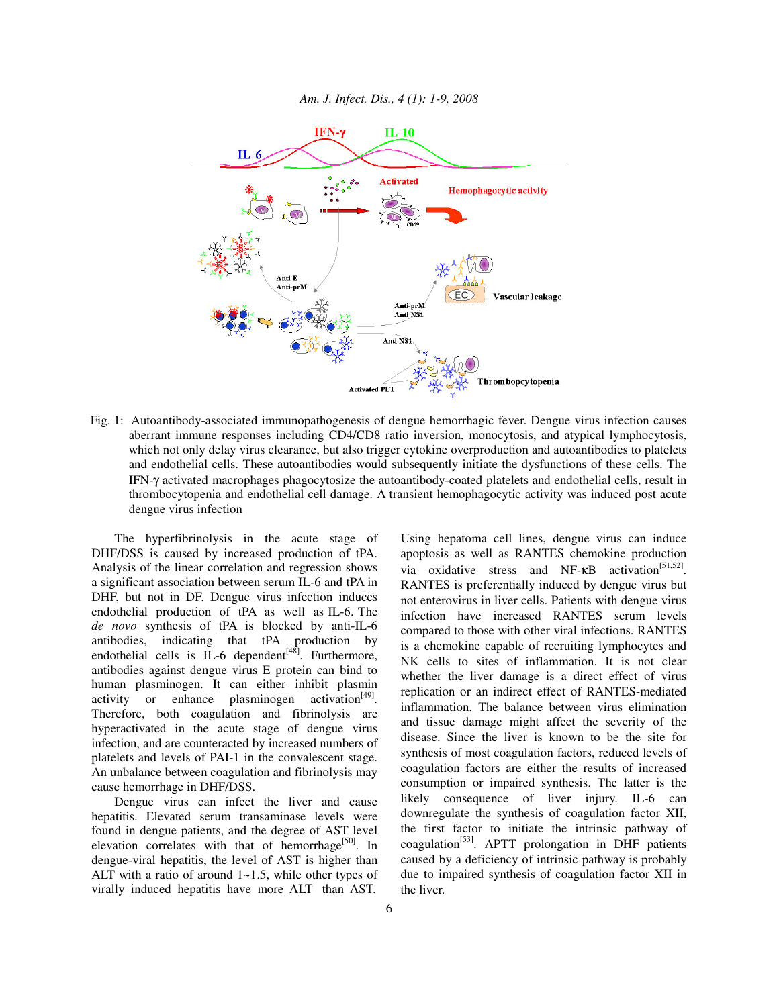

Fig. 1: Autoantibody-associated immunopathogenesis of dengue hemorrhagic fever. Dengue virus infection causes aberrant immune responses including CD4/CD8 ratio inversion, monocytosis, and atypical lymphocytosis, which not only delay virus clearance, but also trigger cytokine overproduction and autoantibodies to platelets and endothelial cells. These autoantibodies would subsequently initiate the dysfunctions of these cells. The IFN-γ activated macrophages phagocytosize the autoantibody-coated platelets and endothelial cells, result in thrombocytopenia and endothelial cell damage. A transient hemophagocytic activity was induced post acute dengue virus infection

The hyperfibrinolysis in the acute stage of DHF/DSS is caused by increased production of tPA. Analysis of the linear correlation and regression shows a significant association between serum IL-6 and tPA in DHF, but not in DF. Dengue virus infection induces endothelial production of tPA as well as IL-6. The *de novo* synthesis of tPA is blocked by anti-IL-6 antibodies, indicating that tPA production by endothelial cells is IL-6 dependent<sup>[48]</sup>. Furthermore, antibodies against dengue virus E protein can bind to human plasminogen. It can either inhibit plasmin activity or enhance plasminogen activation<sup>[49]</sup>. Therefore, both coagulation and fibrinolysis are hyperactivated in the acute stage of dengue virus infection, and are counteracted by increased numbers of platelets and levels of PAI-1 in the convalescent stage. An unbalance between coagulation and fibrinolysis may cause hemorrhage in DHF/DSS.

Dengue virus can infect the liver and cause hepatitis. Elevated serum transaminase levels were found in dengue patients, and the degree of AST level elevation correlates with that of hemorrhage<sup>[50]</sup>. In dengue-viral hepatitis, the level of AST is higher than ALT with a ratio of around  $1 \sim 1.5$ , while other types of virally induced hepatitis have more ALT than AST.

Using hepatoma cell lines, dengue virus can induce apoptosis as well as RANTES chemokine production via oxidative stress and NF- $\kappa$ B activation<sup>[51,52]</sup>. RANTES is preferentially induced by dengue virus but not enterovirus in liver cells. Patients with dengue virus infection have increased RANTES serum levels compared to those with other viral infections. RANTES is a chemokine capable of recruiting lymphocytes and NK cells to sites of inflammation. It is not clear whether the liver damage is a direct effect of virus replication or an indirect effect of RANTES-mediated inflammation. The balance between virus elimination and tissue damage might affect the severity of the disease. Since the liver is known to be the site for synthesis of most coagulation factors, reduced levels of coagulation factors are either the results of increased consumption or impaired synthesis. The latter is the likely consequence of liver injury. IL-6 can downregulate the synthesis of coagulation factor XII, the first factor to initiate the intrinsic pathway of coagulation<sup>[53]</sup>. APTT prolongation in DHF patients caused by a deficiency of intrinsic pathway is probably due to impaired synthesis of coagulation factor XII in the liver.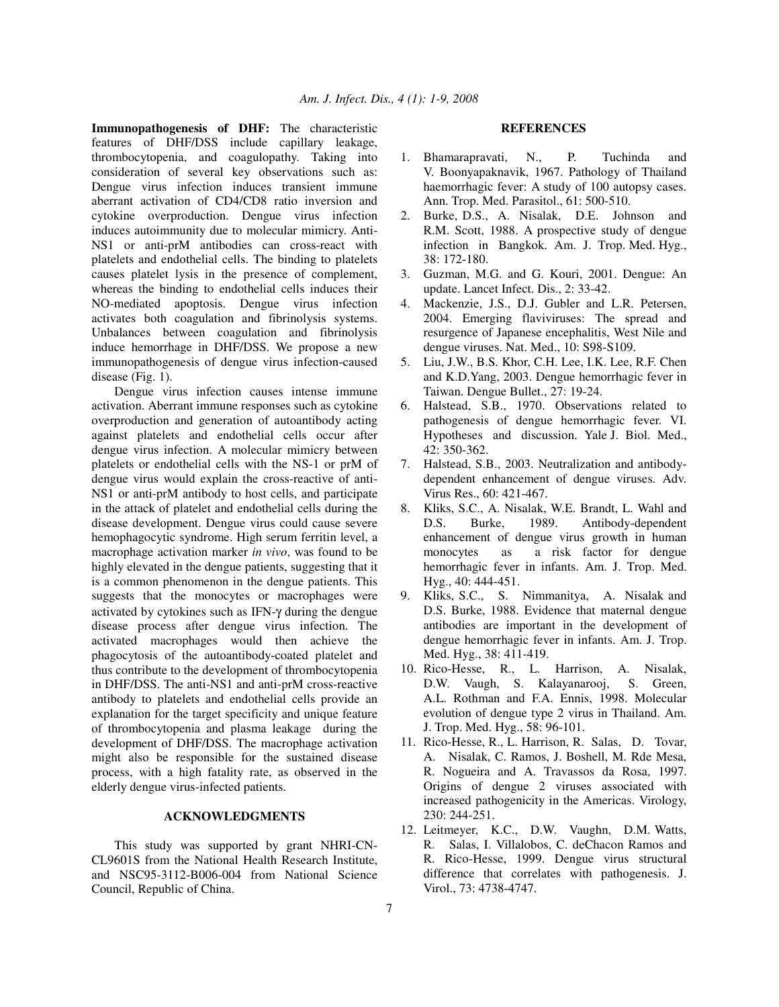**Immunopathogenesis of DHF:** The characteristic features of DHF/DSS include capillary leakage, thrombocytopenia, and coagulopathy. Taking into consideration of several key observations such as: Dengue virus infection induces transient immune aberrant activation of CD4/CD8 ratio inversion and cytokine overproduction. Dengue virus infection induces autoimmunity due to molecular mimicry. Anti-NS1 or anti-prM antibodies can cross-react with platelets and endothelial cells. The binding to platelets causes platelet lysis in the presence of complement, whereas the binding to endothelial cells induces their NO-mediated apoptosis. Dengue virus infection activates both coagulation and fibrinolysis systems. Unbalances between coagulation and fibrinolysis induce hemorrhage in DHF/DSS. We propose a new immunopathogenesis of dengue virus infection-caused disease (Fig. 1).

Dengue virus infection causes intense immune activation. Aberrant immune responses such as cytokine overproduction and generation of autoantibody acting against platelets and endothelial cells occur after dengue virus infection. A molecular mimicry between platelets or endothelial cells with the NS-1 or prM of dengue virus would explain the cross-reactive of anti-NS1 or anti-prM antibody to host cells, and participate in the attack of platelet and endothelial cells during the disease development. Dengue virus could cause severe hemophagocytic syndrome. High serum ferritin level, a macrophage activation marker *in vivo*, was found to be highly elevated in the dengue patients, suggesting that it is a common phenomenon in the dengue patients. This suggests that the monocytes or macrophages were activated by cytokines such as IFN-γ during the dengue disease process after dengue virus infection. The activated macrophages would then achieve the phagocytosis of the autoantibody-coated platelet and thus contribute to the development of thrombocytopenia in DHF/DSS. The anti-NS1 and anti-prM cross-reactive antibody to platelets and endothelial cells provide an explanation for the target specificity and unique feature of thrombocytopenia and plasma leakage during the development of DHF/DSS. The macrophage activation might also be responsible for the sustained disease process, with a high fatality rate, as observed in the elderly dengue virus-infected patients.

## **ACKNOWLEDGMENTS**

This study was supported by grant NHRI-CN-CL9601S from the National Health Research Institute, and NSC95-3112-B006-004 from National Science Council, Republic of China.

## **REFERENCES**

- 1. Bhamarapravati, N., P. Tuchinda and V. Boonyapaknavik, 1967. Pathology of Thailand haemorrhagic fever: A study of 100 autopsy cases. Ann. Trop. Med. Parasitol., 61: 500-510.
- 2. Burke, D.S., A. Nisalak, D.E. Johnson and R.M. Scott, 1988. A prospective study of dengue infection in Bangkok. Am. J. Trop. Med. Hyg., 38: 172-180.
- 3. Guzman, M.G. and G. Kouri, 2001. Dengue: An update. Lancet Infect. Dis., 2: 33-42.
- 4. Mackenzie, J.S., D.J. Gubler and L.R. Petersen, 2004. Emerging flaviviruses: The spread and resurgence of Japanese encephalitis, West Nile and dengue viruses. Nat. Med., 10: S98-S109.
- 5. Liu, J.W., B.S. Khor, C.H. Lee, I.K. Lee, R.F. Chen and K.D.Yang, 2003. Dengue hemorrhagic fever in Taiwan. Dengue Bullet., 27: 19-24.
- 6. Halstead, S.B., 1970. Observations related to pathogenesis of dengue hemorrhagic fever. VI. Hypotheses and discussion. Yale J. Biol. Med., 42: 350-362.
- 7. Halstead, S.B., 2003. Neutralization and antibodydependent enhancement of dengue viruses. Adv. Virus Res., 60: 421-467.
- 8. Kliks, S.C., A. Nisalak, W.E. Brandt, L. Wahl and D.S. Burke, 1989. Antibody-dependent enhancement of dengue virus growth in human monocytes as a risk factor for dengue hemorrhagic fever in infants. Am. J. Trop. Med. Hyg., 40: 444-451.
- 9. Kliks, S.C., S. Nimmanitya, A. Nisalak and D.S. Burke, 1988. Evidence that maternal dengue antibodies are important in the development of dengue hemorrhagic fever in infants. Am. J. Trop. Med. Hyg., 38: 411-419.
- 10. Rico-Hesse, R., L. Harrison, A. Nisalak, D.W. Vaugh, S. Kalayanarooj, S. Green, A.L. Rothman and F.A. Ennis, 1998. Molecular evolution of dengue type 2 virus in Thailand. Am. J. Trop. Med. Hyg., 58: 96-101.
- 11. Rico-Hesse, R., L. Harrison, R. Salas, D. Tovar, A. Nisalak, C. Ramos, J. Boshell, M. Rde Mesa, R. Nogueira and A. Travassos da Rosa, 1997. Origins of dengue 2 viruses associated with increased pathogenicity in the Americas. Virology, 230: 244-251.
- 12. Leitmeyer, K.C., D.W. Vaughn, D.M. Watts, R. Salas, I. Villalobos, C. deChacon Ramos and R. Rico-Hesse, 1999. Dengue virus structural difference that correlates with pathogenesis. J. Virol., 73: 4738-4747.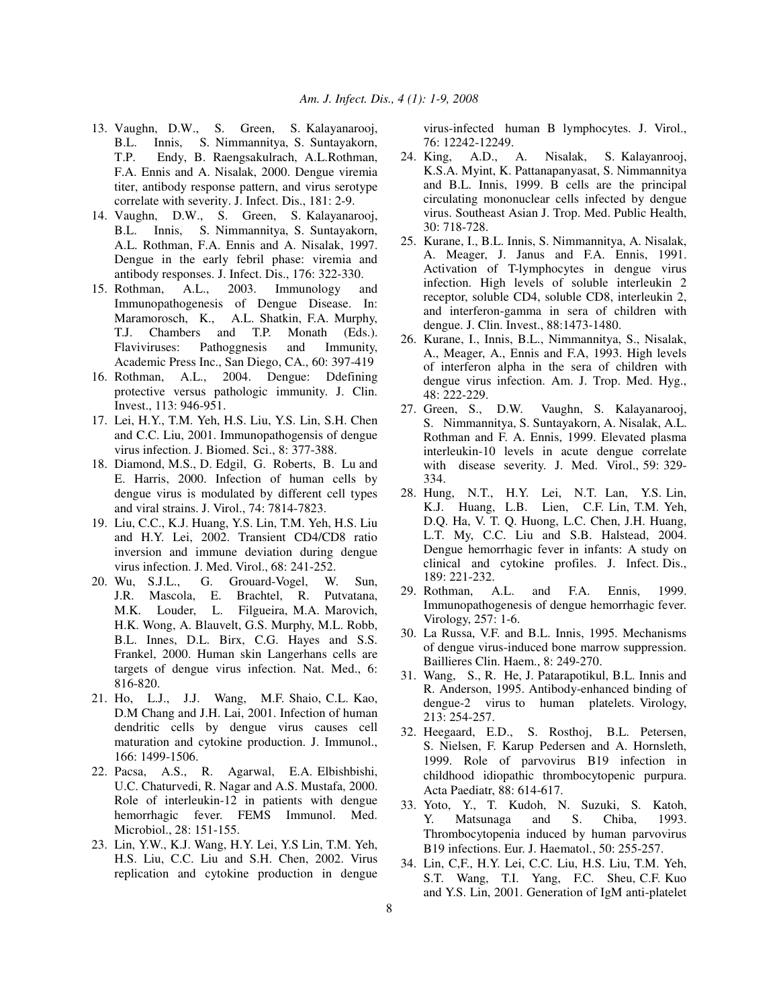- 13. Vaughn, D.W., S. Green, S. Kalayanarooj, B.L. Innis, S. Nimmannitya, S. Suntayakorn, T.P. Endy, B. Raengsakulrach, A.L.Rothman, F.A. Ennis and A. Nisalak, 2000. Dengue viremia titer, antibody response pattern, and virus serotype correlate with severity. J. Infect. Dis., 181: 2-9.
- 14. Vaughn, D.W., S. Green, S. Kalayanarooj, B.L. Innis, S. Nimmannitya, S. Suntayakorn, A.L. Rothman, F.A. Ennis and A. Nisalak, 1997. Dengue in the early febril phase: viremia and antibody responses. J. Infect. Dis., 176: 322-330.
- 15. Rothman, A.L., 2003. Immunology and Immunopathogenesis of Dengue Disease. In: Maramorosch, K., A.L. Shatkin, F.A. Murphy, T.J. Chambers and T.P. Monath (Eds.). Flaviviruses: Pathoggnesis and Immunity, Academic Press Inc., San Diego, CA., 60: 397-419
- 16. Rothman, A.L., 2004. Dengue: Ddefining protective versus pathologic immunity. J. Clin. Invest., 113: 946-951.
- 17. Lei, H.Y., T.M. Yeh, H.S. Liu, Y.S. Lin, S.H. Chen and C.C. Liu, 2001. Immunopathogensis of dengue virus infection. J. Biomed. Sci., 8: 377-388.
- 18. Diamond, M.S., D. Edgil, G. Roberts, B. Lu and E. Harris, 2000. Infection of human cells by dengue virus is modulated by different cell types and viral strains. J. Virol., 74: 7814-7823.
- 19. Liu, C.C., K.J. Huang, Y.S. Lin, T.M. Yeh, H.S. Liu and H.Y. Lei, 2002. Transient CD4/CD8 ratio inversion and immune deviation during dengue virus infection. J. Med. Virol., 68: 241-252.
- 20. Wu, S.J.L., G. Grouard-Vogel, W. Sun, J.R. Mascola, E. Brachtel, R. Putvatana, M.K. Louder, L. Filgueira, M.A. Marovich, H.K. Wong, A. Blauvelt, G.S. Murphy, M.L. Robb, B.L. Innes, D.L. Birx, C.G. Hayes and S.S. Frankel, 2000. Human skin Langerhans cells are targets of dengue virus infection. Nat. Med., 6: 816-820.
- 21. Ho, L.J., J.J. Wang, M.F. Shaio, C.L. Kao, D.M Chang and J.H. Lai, 2001. Infection of human dendritic cells by dengue virus causes cell maturation and cytokine production. J. Immunol., 166: 1499-1506.
- 22. Pacsa, A.S., R. Agarwal, E.A. Elbishbishi, U.C. Chaturvedi, R. Nagar and A.S. Mustafa, 2000. Role of interleukin-12 in patients with dengue hemorrhagic fever. FEMS Immunol. Med. Microbiol., 28: 151-155.
- 23. Lin, Y.W., K.J. Wang, H.Y. Lei, Y.S Lin, T.M. Yeh, H.S. Liu, C.C. Liu and S.H. Chen, 2002. Virus replication and cytokine production in dengue

virus-infected human B lymphocytes. J. Virol., 76: 12242-12249.

- 24. King, A.D., A. Nisalak, S. Kalayanrooj, K.S.A. Myint, K. Pattanapanyasat, S. Nimmannitya and B.L. Innis, 1999. B cells are the principal circulating mononuclear cells infected by dengue virus. Southeast Asian J. Trop. Med. Public Health, 30: 718-728.
- 25. Kurane, I., B.L. Innis, S. Nimmannitya, A. Nisalak, A. Meager, J. Janus and F.A. Ennis, 1991. Activation of T-lymphocytes in dengue virus infection. High levels of soluble interleukin 2 receptor, soluble CD4, soluble CD8, interleukin 2, and interferon-gamma in sera of children with dengue. J. Clin. Invest., 88:1473-1480.
- 26. Kurane, I., Innis, B.L., Nimmannitya, S., Nisalak, A., Meager, A., Ennis and F.A, 1993. High levels of interferon alpha in the sera of children with dengue virus infection. Am. J. Trop. Med. Hyg., 48: 222-229.
- 27. Green, S., D.W. Vaughn, S. Kalayanarooj, S. Nimmannitya, S. Suntayakorn, A. Nisalak, A.L. Rothman and F. A. Ennis, 1999. Elevated plasma interleukin-10 levels in acute dengue correlate with disease severity. J. Med. Virol., 59: 329- 334.
- 28. Hung, N.T., H.Y. Lei, N.T. Lan, Y.S. Lin, K.J. Huang, L.B. Lien, C.F. Lin, T.M. Yeh, D.Q. Ha, V. T. Q. Huong, L.C. Chen, J.H. Huang, L.T. My, C.C. Liu and S.B. Halstead, 2004. Dengue hemorrhagic fever in infants: A study on clinical and cytokine profiles. J. Infect. Dis., 189: 221-232.
- 29. Rothman, A.L. and F.A. Ennis, 1999. Immunopathogenesis of dengue hemorrhagic fever. Virology, 257: 1-6.
- 30. La Russa, V.F. and B.L. Innis, 1995. Mechanisms of dengue virus-induced bone marrow suppression. Baillieres Clin. Haem., 8: 249-270.
- 31. Wang, S., R. He, J. Patarapotikul, B.L. Innis and R. Anderson, 1995. Antibody-enhanced binding of dengue-2 virus to human platelets. Virology, 213: 254-257.
- 32. Heegaard, E.D., S. Rosthoj, B.L. Petersen, S. Nielsen, F. Karup Pedersen and A. Hornsleth, 1999. Role of parvovirus B19 infection in childhood idiopathic thrombocytopenic purpura. Acta Paediatr, 88: 614-617.
- 33. Yoto, Y., T. Kudoh, N. Suzuki, S. Katoh, Y. Matsunaga and S. Chiba, 1993. Thrombocytopenia induced by human parvovirus B19 infections. Eur. J. Haematol., 50: 255-257.
- 34. Lin, C,F., H.Y. Lei, C.C. Liu, H.S. Liu, T.M. Yeh, S.T. Wang, T.I. Yang, F.C. Sheu, C.F. Kuo and Y.S. Lin, 2001. Generation of IgM anti-platelet